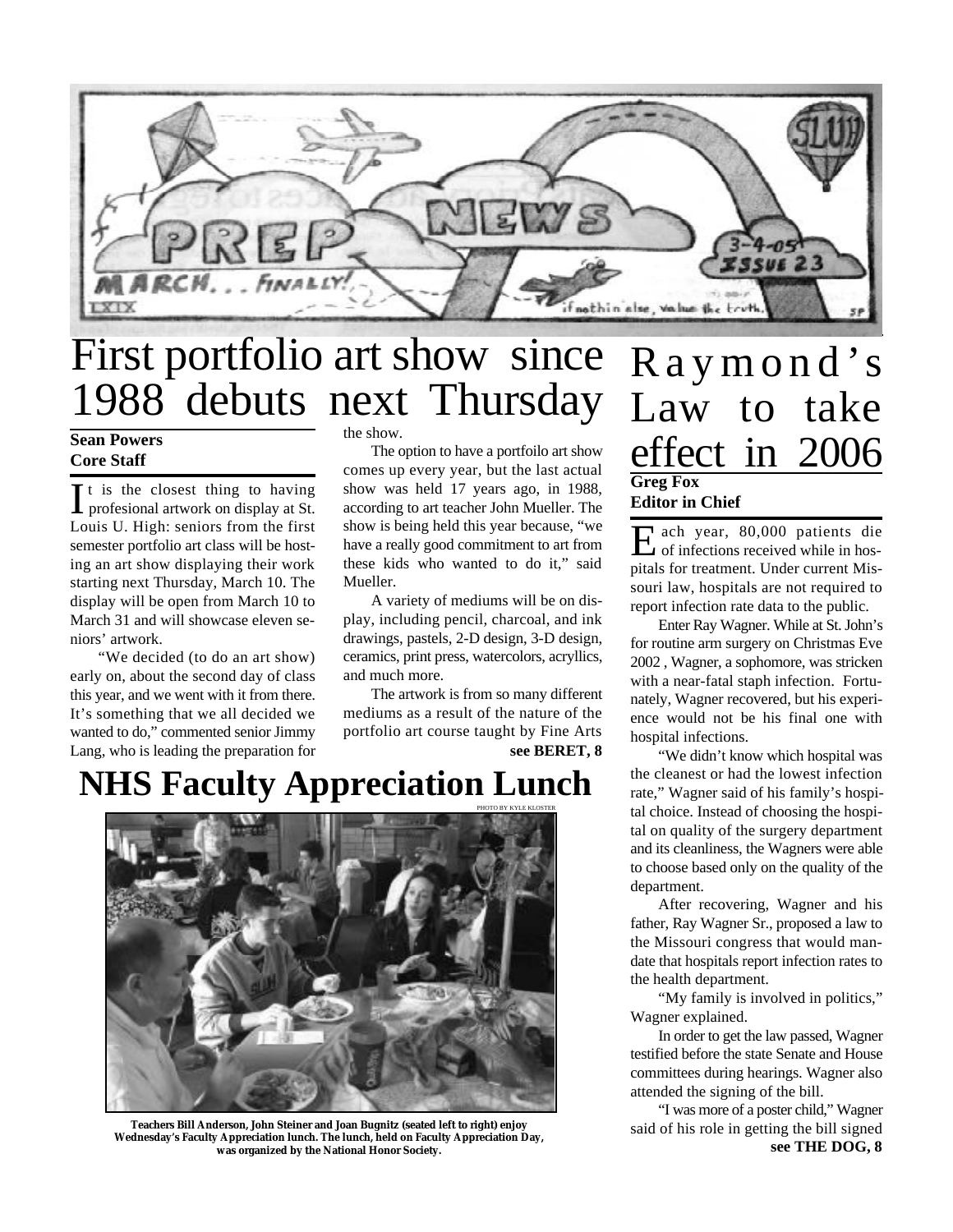

# First portfolio art show since 1988 debuts next Thursday

### **Sean Powers Core Staff**

 $\prod$ t is the closest thing to having<br>profesional artwork on display at St. profesional artwork on display at St. Louis U. High: seniors from the first semester portfolio art class will be hosting an art show displaying their work starting next Thursday, March 10. The display will be open from March 10 to March 31 and will showcase eleven seniors' artwork.

"We decided (to do an art show) early on, about the second day of class this year, and we went with it from there. It's something that we all decided we wanted to do," commented senior Jimmy Lang, who is leading the preparation for the show.

The option to have a portfoilo art show comes up every year, but the last actual show was held 17 years ago, in 1988, according to art teacher John Mueller. The show is being held this year because, "we have a really good commitment to art from these kids who wanted to do it," said Mueller.

A variety of mediums will be on display, including pencil, charcoal, and ink drawings, pastels, 2-D design, 3-D design, ceramics, print press, watercolors, acryllics, and much more.

**see BERET, 8** The artwork is from so many different mediums as a result of the nature of the portfolio art course taught by Fine Arts

## **NHS Faculty Appreciation Lunch**



**Teachers Bill Anderson, John Steiner and Joan Bugnitz (seated left to right) enjoy Wednesday's Faculty Appreciation lunch. The lunch, held on Faculty Appreciation Day, was organized by the National Honor Society.**

### Raymond's Law to take effect in 2006 **Greg Fox Editor in Chief**

E ach year, 80,000 patients die<br>
of infections received while in hosach year, 80,000 patients die pitals for treatment. Under current Missouri law, hospitals are not required to report infection rate data to the public.

Enter Ray Wagner. While at St. John's for routine arm surgery on Christmas Eve 2002 , Wagner, a sophomore, was stricken with a near-fatal staph infection. Fortunately, Wagner recovered, but his experience would not be his final one with hospital infections.

"We didn't know which hospital was the cleanest or had the lowest infection rate," Wagner said of his family's hospital choice. Instead of choosing the hospital on quality of the surgery department and its cleanliness, the Wagners were able to choose based only on the quality of the department.

After recovering, Wagner and his father, Ray Wagner Sr., proposed a law to the Missouri congress that would mandate that hospitals report infection rates to the health department.

"My family is involved in politics," Wagner explained.

In order to get the law passed, Wagner testified before the state Senate and House committees during hearings. Wagner also attended the signing of the bill.

**see THE DOG, 8** "I was more of a poster child," Wagner said of his role in getting the bill signed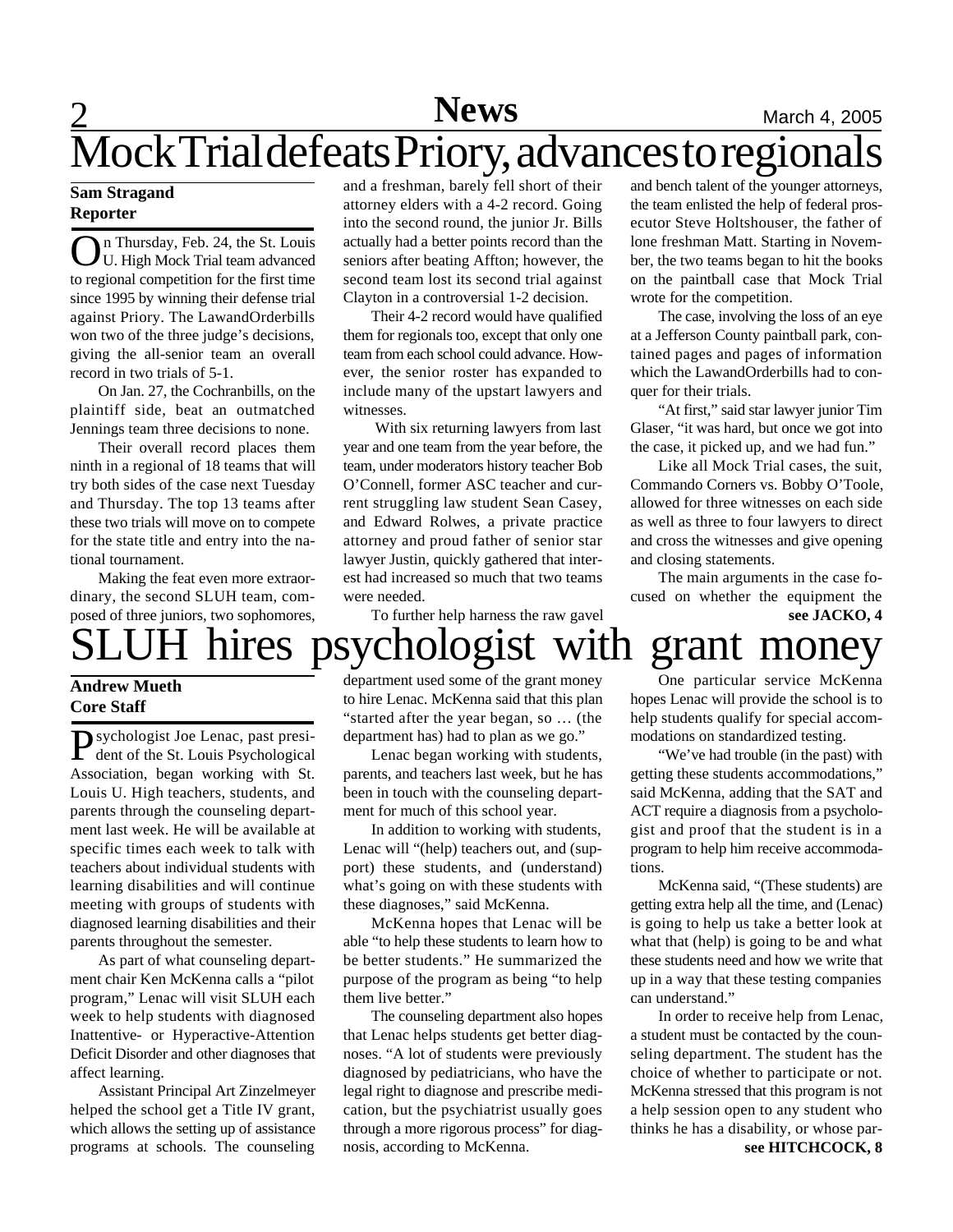# **2** Mews March 4, 2005

# Mock Trial defeats Priory, advances to regionals

### **Sam Stragand Reporter**

O n Thursday, Feb. 24, the St. Louis U. High Mock Trial team advanced to regional competition for the first time since 1995 by winning their defense trial against Priory. The LawandOrderbills won two of the three judge's decisions, giving the all-senior team an overall record in two trials of 5-1.

On Jan. 27, the Cochranbills, on the plaintiff side, beat an outmatched Jennings team three decisions to none.

Their overall record places them ninth in a regional of 18 teams that will try both sides of the case next Tuesday and Thursday. The top 13 teams after these two trials will move on to compete for the state title and entry into the national tournament.

Making the feat even more extraordinary, the second SLUH team, composed of three juniors, two sophomores, and a freshman, barely fell short of their attorney elders with a 4-2 record. Going into the second round, the junior Jr. Bills actually had a better points record than the seniors after beating Affton; however, the second team lost its second trial against Clayton in a controversial 1-2 decision.

Their 4-2 record would have qualified them for regionals too, except that only one team from each school could advance. However, the senior roster has expanded to include many of the upstart lawyers and witnesses.

 With six returning lawyers from last year and one team from the year before, the team, under moderators history teacher Bob O'Connell, former ASC teacher and current struggling law student Sean Casey, and Edward Rolwes, a private practice attorney and proud father of senior star lawyer Justin, quickly gathered that interest had increased so much that two teams were needed.

To further help harness the raw gavel

and bench talent of the younger attorneys, the team enlisted the help of federal prosecutor Steve Holtshouser, the father of lone freshman Matt. Starting in November, the two teams began to hit the books on the paintball case that Mock Trial wrote for the competition.

The case, involving the loss of an eye at a Jefferson County paintball park, contained pages and pages of information which the LawandOrderbills had to conquer for their trials.

"At first," said star lawyer junior Tim Glaser, "it was hard, but once we got into the case, it picked up, and we had fun."

Like all Mock Trial cases, the suit, Commando Corners vs. Bobby O'Toole, allowed for three witnesses on each side as well as three to four lawyers to direct and cross the witnesses and give opening and closing statements.

The main arguments in the case focused on whether the equipment the **see JACKO, 4**

# hires psychologist with grant money

### **Andrew Mueth Core Staff**

Psychologist Joe Lenac, past president of the St. Louis Psychological dent of the St. Louis Psychological Association, began working with St. Louis U. High teachers, students, and parents through the counseling department last week. He will be available at specific times each week to talk with teachers about individual students with learning disabilities and will continue meeting with groups of students with diagnosed learning disabilities and their parents throughout the semester.

As part of what counseling department chair Ken McKenna calls a "pilot program," Lenac will visit SLUH each week to help students with diagnosed Inattentive- or Hyperactive-Attention Deficit Disorder and other diagnoses that affect learning.

Assistant Principal Art Zinzelmeyer helped the school get a Title IV grant, which allows the setting up of assistance programs at schools. The counseling

department used some of the grant money to hire Lenac. McKenna said that this plan "started after the year began, so … (the department has) had to plan as we go."

Lenac began working with students, parents, and teachers last week, but he has been in touch with the counseling department for much of this school year.

In addition to working with students, Lenac will "(help) teachers out, and (support) these students, and (understand) what's going on with these students with these diagnoses," said McKenna.

McKenna hopes that Lenac will be able "to help these students to learn how to be better students." He summarized the purpose of the program as being "to help them live better."

The counseling department also hopes that Lenac helps students get better diagnoses. "A lot of students were previously diagnosed by pediatricians, who have the legal right to diagnose and prescribe medication, but the psychiatrist usually goes through a more rigorous process" for diagnosis, according to McKenna.

One particular service McKenna hopes Lenac will provide the school is to help students qualify for special accommodations on standardized testing.

"We've had trouble (in the past) with getting these students accommodations," said McKenna, adding that the SAT and ACT require a diagnosis from a psychologist and proof that the student is in a program to help him receive accommodations.

McKenna said, "(These students) are getting extra help all the time, and (Lenac) is going to help us take a better look at what that (help) is going to be and what these students need and how we write that up in a way that these testing companies can understand."

In order to receive help from Lenac, a student must be contacted by the counseling department. The student has the choice of whether to participate or not. McKenna stressed that this program is not a help session open to any student who thinks he has a disability, or whose par**see HITCHCOCK, 8**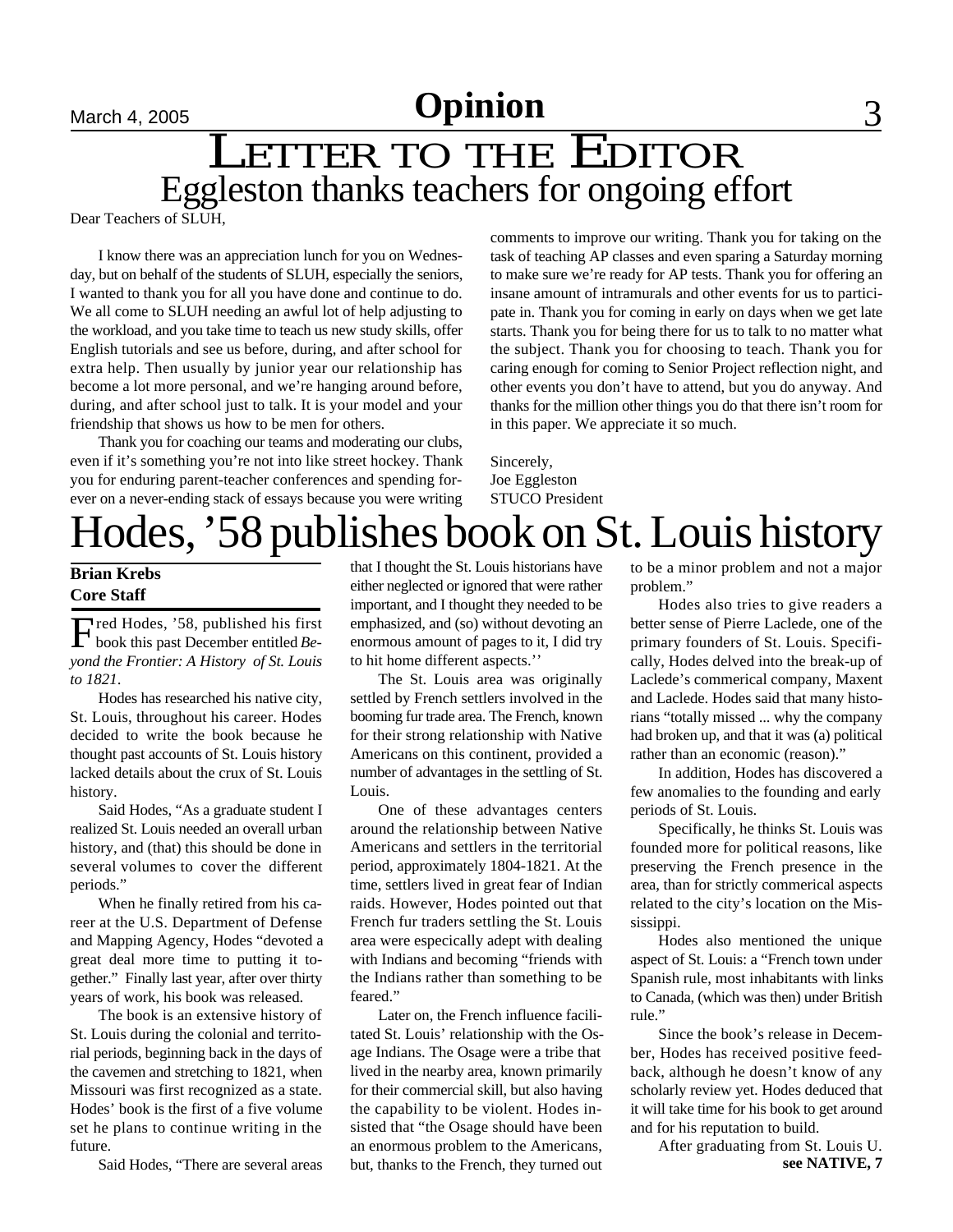# LETTER TO THE EDITOR Eggleston thanks teachers for ongoing effort

Dear Teachers of SLUH,

I know there was an appreciation lunch for you on Wednesday, but on behalf of the students of SLUH, especially the seniors, I wanted to thank you for all you have done and continue to do. We all come to SLUH needing an awful lot of help adjusting to the workload, and you take time to teach us new study skills, offer English tutorials and see us before, during, and after school for extra help. Then usually by junior year our relationship has become a lot more personal, and we're hanging around before, during, and after school just to talk. It is your model and your friendship that shows us how to be men for others.

Thank you for coaching our teams and moderating our clubs, even if it's something you're not into like street hockey. Thank you for enduring parent-teacher conferences and spending forever on a never-ending stack of essays because you were writing comments to improve our writing. Thank you for taking on the task of teaching AP classes and even sparing a Saturday morning to make sure we're ready for AP tests. Thank you for offering an insane amount of intramurals and other events for us to participate in. Thank you for coming in early on days when we get late starts. Thank you for being there for us to talk to no matter what the subject. Thank you for choosing to teach. Thank you for caring enough for coming to Senior Project reflection night, and other events you don't have to attend, but you do anyway. And thanks for the million other things you do that there isn't room for in this paper. We appreciate it so much.

Sincerely, Joe Eggleston STUCO President

# Hodes, '58 publishes book on St. Louis history

### **Brian Krebs Core Staff**

Fred Hodes, '58, published his first<br>book this past December entitled Bebook this past December entitled *Beyond the Frontier: A History of St. Louis to 1821*.

Hodes has researched his native city, St. Louis, throughout his career. Hodes decided to write the book because he thought past accounts of St. Louis history lacked details about the crux of St. Louis history.

Said Hodes, "As a graduate student I realized St. Louis needed an overall urban history, and (that) this should be done in several volumes to cover the different periods."

When he finally retired from his career at the U.S. Department of Defense and Mapping Agency, Hodes "devoted a great deal more time to putting it together." Finally last year, after over thirty years of work, his book was released.

The book is an extensive history of St. Louis during the colonial and territorial periods, beginning back in the days of the cavemen and stretching to 1821, when Missouri was first recognized as a state. Hodes' book is the first of a five volume set he plans to continue writing in the future.

Said Hodes, "There are several areas

that I thought the St. Louis historians have either neglected or ignored that were rather important, and I thought they needed to be emphasized, and (so) without devoting an enormous amount of pages to it, I did try to hit home different aspects.''

The St. Louis area was originally settled by French settlers involved in the booming fur trade area. The French, known for their strong relationship with Native Americans on this continent, provided a number of advantages in the settling of St. Louis.

One of these advantages centers around the relationship between Native Americans and settlers in the territorial period, approximately 1804-1821. At the time, settlers lived in great fear of Indian raids. However, Hodes pointed out that French fur traders settling the St. Louis area were especically adept with dealing with Indians and becoming "friends with the Indians rather than something to be feared."

Later on, the French influence facilitated St. Louis' relationship with the Osage Indians. The Osage were a tribe that lived in the nearby area, known primarily for their commercial skill, but also having the capability to be violent. Hodes insisted that "the Osage should have been an enormous problem to the Americans, but, thanks to the French, they turned out

to be a minor problem and not a major problem."

Hodes also tries to give readers a better sense of Pierre Laclede, one of the primary founders of St. Louis. Specifically, Hodes delved into the break-up of Laclede's commerical company, Maxent and Laclede. Hodes said that many historians "totally missed ... why the company had broken up, and that it was (a) political rather than an economic (reason)."

In addition, Hodes has discovered a few anomalies to the founding and early periods of St. Louis.

Specifically, he thinks St. Louis was founded more for political reasons, like preserving the French presence in the area, than for strictly commerical aspects related to the city's location on the Mississippi.

Hodes also mentioned the unique aspect of St. Louis: a "French town under Spanish rule, most inhabitants with links to Canada, (which was then) under British rule."

Since the book's release in December, Hodes has received positive feedback, although he doesn't know of any scholarly review yet. Hodes deduced that it will take time for his book to get around and for his reputation to build.

After graduating from St. Louis U. **see NATIVE, 7**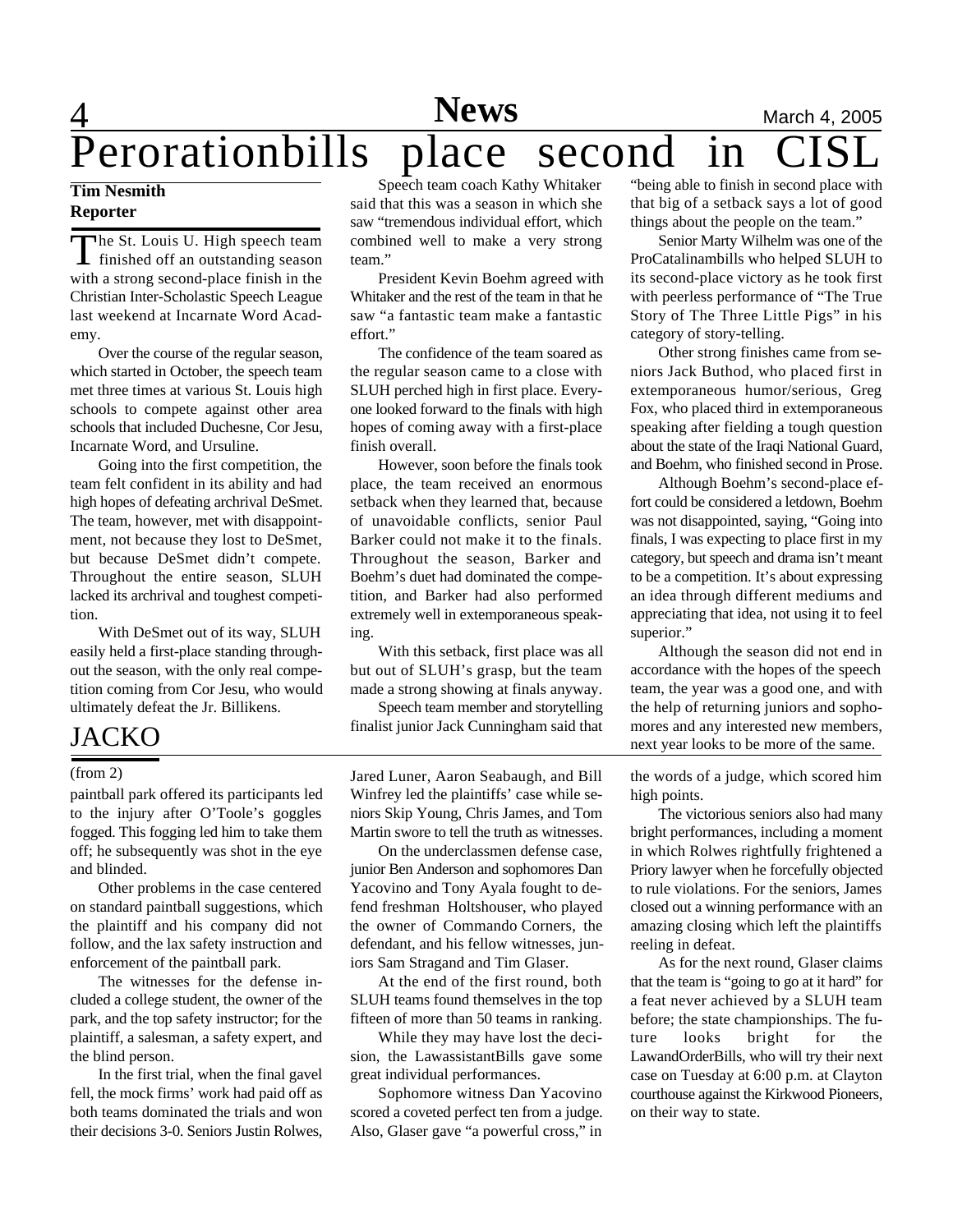# 4 **News** March 4, 2005

# Perorationbills place second in

### **Tim Nesmith Reporter**

The St. Louis U. High speech team The St. Louis U. High speech team with a strong second-place finish in the Christian Inter-Scholastic Speech League last weekend at Incarnate Word Academy.

Over the course of the regular season, which started in October, the speech team met three times at various St. Louis high schools to compete against other area schools that included Duchesne, Cor Jesu, Incarnate Word, and Ursuline.

Going into the first competition, the team felt confident in its ability and had high hopes of defeating archrival DeSmet. The team, however, met with disappointment, not because they lost to DeSmet, but because DeSmet didn't compete. Throughout the entire season, SLUH lacked its archrival and toughest competition.

With DeSmet out of its way, SLUH easily held a first-place standing throughout the season, with the only real competition coming from Cor Jesu, who would ultimately defeat the Jr. Billikens.

### JACKO

paintball park offered its participants led to the injury after O'Toole's goggles fogged. This fogging led him to take them off; he subsequently was shot in the eye and blinded.

Other problems in the case centered on standard paintball suggestions, which the plaintiff and his company did not follow, and the lax safety instruction and enforcement of the paintball park.

The witnesses for the defense included a college student, the owner of the park, and the top safety instructor; for the plaintiff, a salesman, a safety expert, and the blind person.

In the first trial, when the final gavel fell, the mock firms' work had paid off as both teams dominated the trials and won their decisions 3-0. Seniors Justin Rolwes,

Speech team coach Kathy Whitaker said that this was a season in which she saw "tremendous individual effort, which combined well to make a very strong team."

President Kevin Boehm agreed with Whitaker and the rest of the team in that he saw "a fantastic team make a fantastic effort."

The confidence of the team soared as the regular season came to a close with SLUH perched high in first place. Everyone looked forward to the finals with high hopes of coming away with a first-place finish overall.

However, soon before the finals took place, the team received an enormous setback when they learned that, because of unavoidable conflicts, senior Paul Barker could not make it to the finals. Throughout the season, Barker and Boehm's duet had dominated the competition, and Barker had also performed extremely well in extemporaneous speaking.

With this setback, first place was all but out of SLUH's grasp, but the team made a strong showing at finals anyway.

Speech team member and storytelling finalist junior Jack Cunningham said that

(from 2) Jared Luner, Aaron Seabaugh, and Bill Winfrey led the plaintiffs' case while seniors Skip Young, Chris James, and Tom Martin swore to tell the truth as witnesses.

> On the underclassmen defense case, junior Ben Anderson and sophomores Dan Yacovino and Tony Ayala fought to defend freshman Holtshouser, who played the owner of Commando Corners, the defendant, and his fellow witnesses, juniors Sam Stragand and Tim Glaser.

> At the end of the first round, both SLUH teams found themselves in the top fifteen of more than 50 teams in ranking.

> While they may have lost the decision, the LawassistantBills gave some great individual performances.

> Sophomore witness Dan Yacovino scored a coveted perfect ten from a judge. Also, Glaser gave "a powerful cross," in

"being able to finish in second place with that big of a setback says a lot of good things about the people on the team."

Senior Marty Wilhelm was one of the ProCatalinambills who helped SLUH to its second-place victory as he took first with peerless performance of "The True Story of The Three Little Pigs" in his category of story-telling.

Other strong finishes came from seniors Jack Buthod, who placed first in extemporaneous humor/serious, Greg Fox, who placed third in extemporaneous speaking after fielding a tough question about the state of the Iraqi National Guard, and Boehm, who finished second in Prose.

Although Boehm's second-place effort could be considered a letdown, Boehm was not disappointed, saying, "Going into finals, I was expecting to place first in my category, but speech and drama isn't meant to be a competition. It's about expressing an idea through different mediums and appreciating that idea, not using it to feel superior."

Although the season did not end in accordance with the hopes of the speech team, the year was a good one, and with the help of returning juniors and sophomores and any interested new members, next year looks to be more of the same.

the words of a judge, which scored him high points.

The victorious seniors also had many bright performances, including a moment in which Rolwes rightfully frightened a Priory lawyer when he forcefully objected to rule violations. For the seniors, James closed out a winning performance with an amazing closing which left the plaintiffs reeling in defeat.

As for the next round, Glaser claims that the team is "going to go at it hard" for a feat never achieved by a SLUH team before; the state championships. The future looks bright for the LawandOrderBills, who will try their next case on Tuesday at 6:00 p.m. at Clayton courthouse against the Kirkwood Pioneers, on their way to state.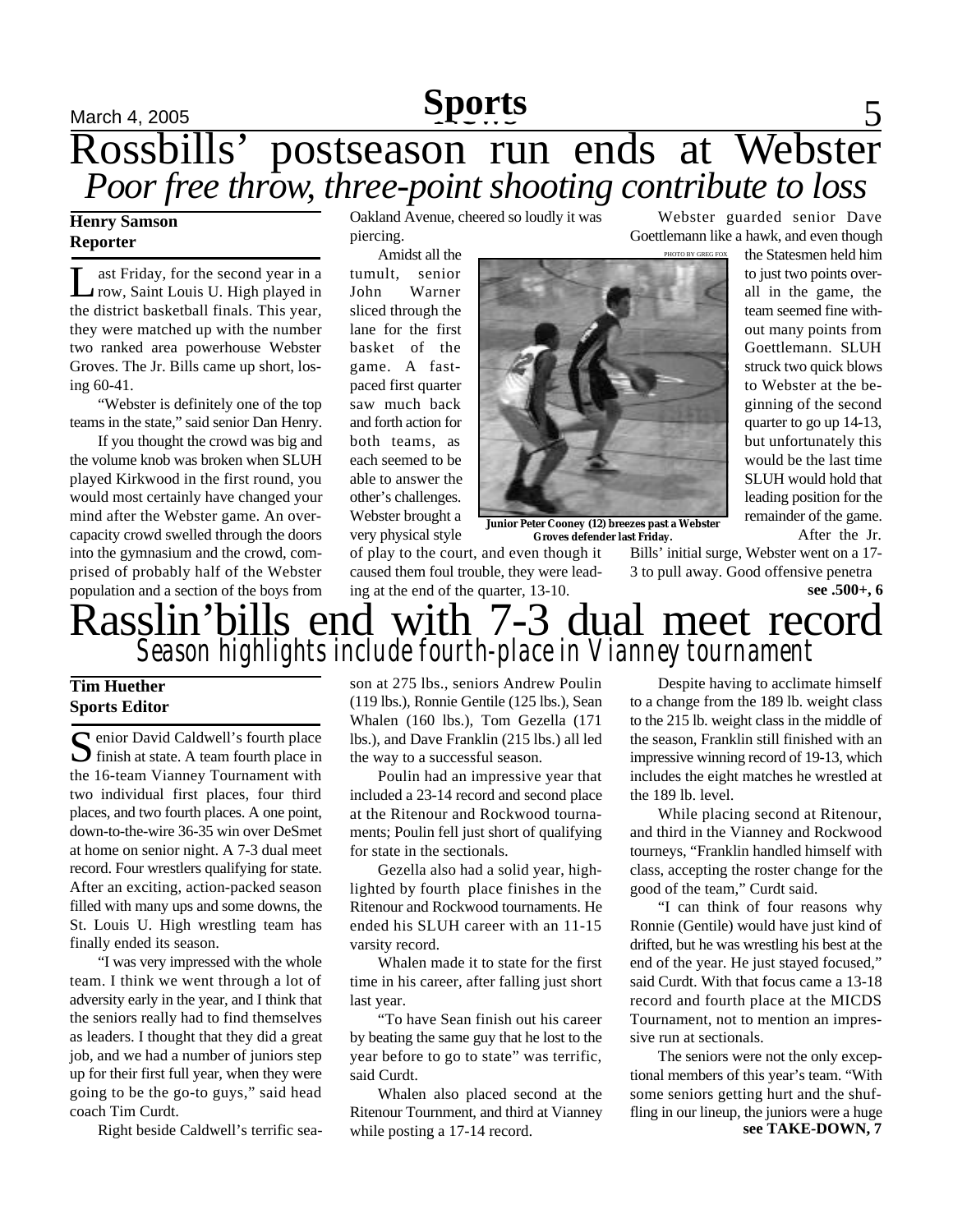## **Sports**

## March 4, 2005 **Sports** 5 Rossbills' postseason run ends at Webster Poor free throw, three-point shooting contribute to loss

### **Henry Samson Reporter**

L ast Friday, for the second year in a row, Saint Louis U. High played in the district basketball finals. This year, they were matched up with the number two ranked area powerhouse Webster Groves. The Jr. Bills came up short, losing 60-41.

"Webster is definitely one of the top teams in the state," said senior Dan Henry.

If you thought the crowd was big and the volume knob was broken when SLUH played Kirkwood in the first round, you would most certainly have changed your mind after the Webster game. An overcapacity crowd swelled through the doors into the gymnasium and the crowd, comprised of probably half of the Webster population and a section of the boys from Oakland Avenue, cheered so loudly it was piercing.

Amidst all the tumult, senior John Warner sliced through the lane for the first basket of the game. A fastpaced first quarter saw much back and forth action for both teams, as each seemed to be able to answer the other's challenges. Webster brought a very physical style



**Junior Peter Cooney (12) breezes past a Webster Groves defender last Friday.**

of play to the court, and even though it caused them foul trouble, they were leading at the end of the quarter, 13-10.

Bills' initial surge, Webster went on a 17- 3 to pull away. Good offensive penetra

Webster guarded senior Dave Goettlemann like a hawk, and even though

> the Statesmen held him to just two points overall in the game, the team seemed fine without many points from Goettlemann. SLUH struck two quick blows to Webster at the beginning of the second quarter to go up 14-13, but unfortunately this would be the last time SLUH would hold that leading position for the remainder of the game.

**see .500+, 6**

After the Jr.

### Rasslin'bills end with 7-3 dual meet record *Season highlights include fourth-place in Vianney tournament*

### **Tim Huether Sports Editor**

 $S$ enior David Caldwell's fourth place<br>finish at state. A team fourth place in  $\bigcap$  enior David Caldwell's fourth place the 16-team Vianney Tournament with two individual first places, four third places, and two fourth places. A one point, down-to-the-wire 36-35 win over DeSmet at home on senior night. A 7-3 dual meet record. Four wrestlers qualifying for state. After an exciting, action-packed season filled with many ups and some downs, the St. Louis U. High wrestling team has finally ended its season.

"I was very impressed with the whole team. I think we went through a lot of adversity early in the year, and I think that the seniors really had to find themselves as leaders. I thought that they did a great job, and we had a number of juniors step up for their first full year, when they were going to be the go-to guys," said head coach Tim Curdt.

Right beside Caldwell's terrific sea-

son at 275 lbs., seniors Andrew Poulin (119 lbs.), Ronnie Gentile (125 lbs.), Sean Whalen (160 lbs.), Tom Gezella (171 lbs.), and Dave Franklin (215 lbs.) all led the way to a successful season.

Poulin had an impressive year that included a 23-14 record and second place at the Ritenour and Rockwood tournaments; Poulin fell just short of qualifying for state in the sectionals.

Gezella also had a solid year, highlighted by fourth place finishes in the Ritenour and Rockwood tournaments. He ended his SLUH career with an 11-15 varsity record.

Whalen made it to state for the first time in his career, after falling just short last year.

"To have Sean finish out his career by beating the same guy that he lost to the year before to go to state" was terrific, said Curdt.

Whalen also placed second at the Ritenour Tournment, and third at Vianney while posting a 17-14 record.

Despite having to acclimate himself to a change from the 189 lb. weight class to the 215 lb. weight class in the middle of the season, Franklin still finished with an impressive winning record of 19-13, which includes the eight matches he wrestled at the 189 lb. level.

While placing second at Ritenour, and third in the Vianney and Rockwood tourneys, "Franklin handled himself with class, accepting the roster change for the good of the team," Curdt said.

"I can think of four reasons why Ronnie (Gentile) would have just kind of drifted, but he was wrestling his best at the end of the year. He just stayed focused," said Curdt. With that focus came a 13-18 record and fourth place at the MICDS Tournament, not to mention an impressive run at sectionals.

**see TAKE-DOWN, 7** The seniors were not the only exceptional members of this year's team. "With some seniors getting hurt and the shuffling in our lineup, the juniors were a huge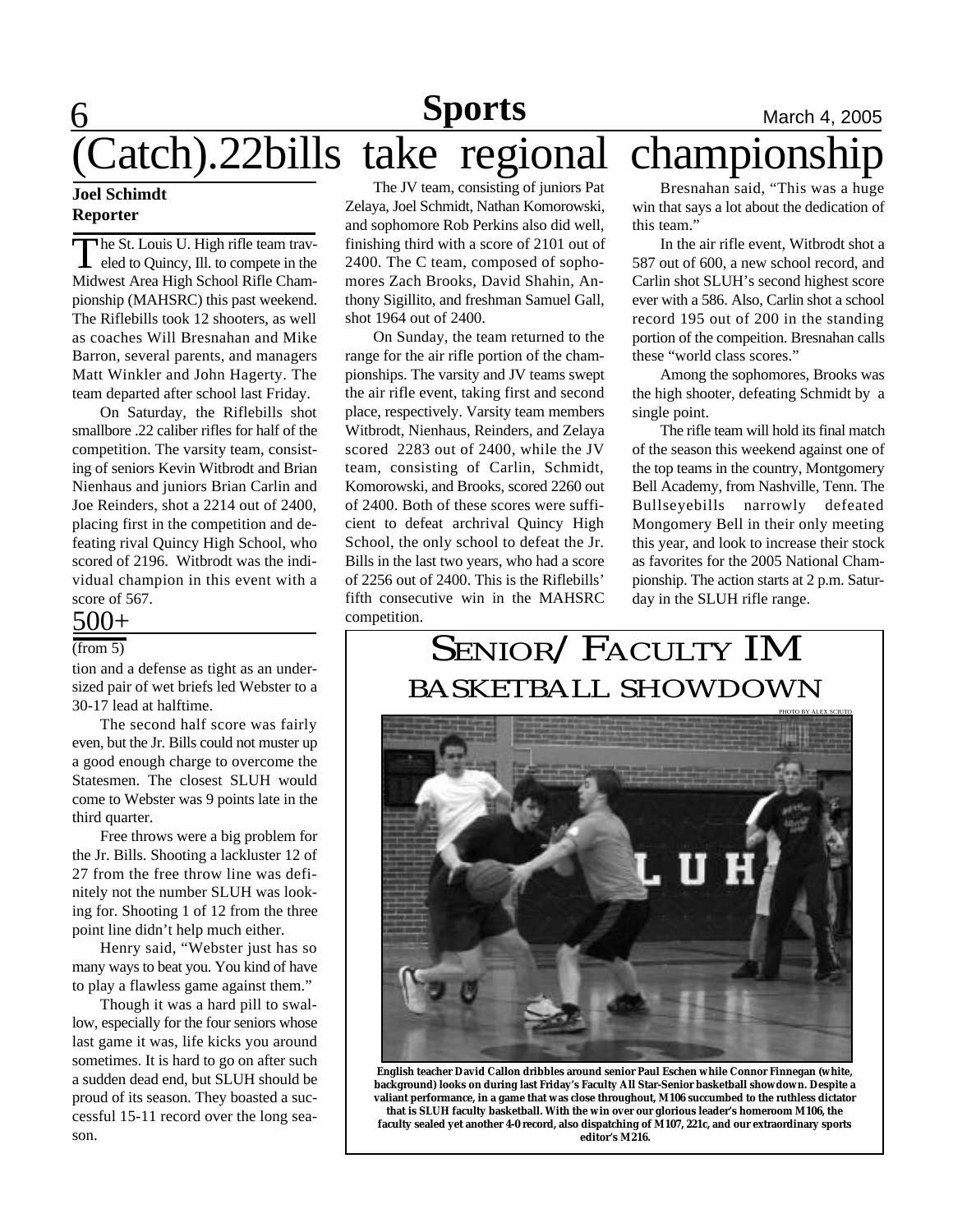# **Sports**

# **6 Sports** March 4, 2005 (Catch).22bills take regional championship

### **Joel Schimdt Reporter**

The St. Louis U. High rifle team traveled to Quincy, Ill. to compete in the Midwest Area High School Rifle Chamhe St. Louis U. High rifle team traveled to Quincy, Ill. to compete in the pionship (MAHSRC) this past weekend. The Riflebills took 12 shooters, as well as coaches Will Bresnahan and Mike Barron, several parents, and managers Matt Winkler and John Hagerty. The team departed after school last Friday.

On Saturday, the Riflebills shot smallbore .22 caliber rifles for half of the competition. The varsity team, consisting of seniors Kevin Witbrodt and Brian Nienhaus and juniors Brian Carlin and Joe Reinders, shot a 2214 out of 2400, placing first in the competition and defeating rival Quincy High School, who scored of 2196. Witbrodt was the individual champion in this event with a score of 567.

### $500+$

### $(from 5)$

tion and a defense as tight as an undersized pair of wet briefs led Webster to a 30-17 lead at halftime.

The second half score was fairly even, but the Jr. Bills could not muster up a good enough charge to overcome the Statesmen. The closest SLUH would come to Webster was 9 points late in the third quarter.

Free throws were a big problem for the Jr. Bills. Shooting a lackluster 12 of 27 from the free throw line was definitely not the number SLUH was looking for. Shooting 1 of 12 from the three point line didn't help much either.

Henry said, "Webster just has so many ways to beat you. You kind of have to play a flawless game against them."

Though it was a hard pill to swallow, especially for the four seniors whose last game it was, life kicks you around sometimes. It is hard to go on after such a sudden dead end, but SLUH should be proud of its season. They boasted a successful 15-11 record over the long season.

The JV team, consisting of juniors Pat Zelaya, Joel Schmidt, Nathan Komorowski, and sophomore Rob Perkins also did well, finishing third with a score of 2101 out of 2400. The C team, composed of sophomores Zach Brooks, David Shahin, Anthony Sigillito, and freshman Samuel Gall, shot 1964 out of 2400.

On Sunday, the team returned to the range for the air rifle portion of the championships. The varsity and JV teams swept the air rifle event, taking first and second place, respectively. Varsity team members Witbrodt, Nienhaus, Reinders, and Zelaya scored 2283 out of 2400, while the JV team, consisting of Carlin, Schmidt, Komorowski, and Brooks, scored 2260 out of 2400. Both of these scores were sufficient to defeat archrival Quincy High School, the only school to defeat the Jr. Bills in the last two years, who had a score of 2256 out of 2400. This is the Riflebills' fifth consecutive win in the MAHSRC competition.

Bresnahan said, "This was a huge win that says a lot about the dedication of this team."

In the air rifle event, Witbrodt shot a 587 out of 600, a new school record, and Carlin shot SLUH's second highest score ever with a 586. Also, Carlin shot a school record 195 out of 200 in the standing portion of the compeition. Bresnahan calls these "world class scores."

Among the sophomores, Brooks was the high shooter, defeating Schmidt by a single point.

The rifle team will hold its final match of the season this weekend against one of the top teams in the country, Montgomery Bell Academy, from Nashville, Tenn. The Bullseyebills narrowly defeated Mongomery Bell in their only meeting this year, and look to increase their stock as favorites for the 2005 National Championship. The action starts at 2 p.m. Saturday in the SLUH rifle range.

## SENIOR/FACULTY IM BASKETBALL SHOWDOWN



**English teacher David Callon dribbles around senior Paul Eschen while Connor Finnegan (white, background) looks on during last Friday's Faculty All Star-Senior basketball showdown. Despite a valiant performance, in a game that was close throughout, M106 succumbed to the ruthless dictator that is SLUH faculty basketball. With the win over our glorious leader's homeroom M106, the faculty sealed yet another 4-0 record, also dispatching of M107, 221c, and our extraordinary sports editor's M216.**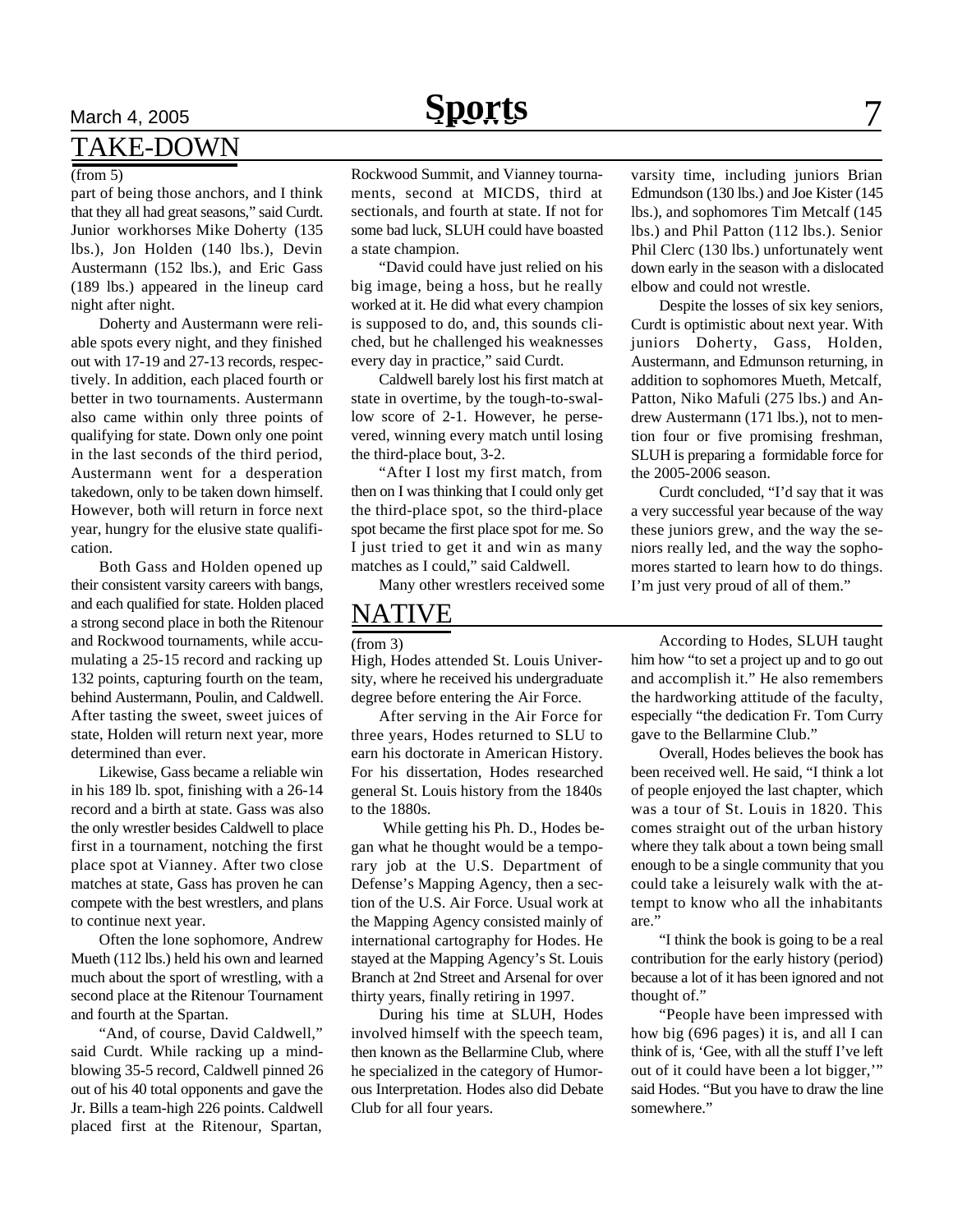# **March 4, 2005 Sports** 7

### TAKE-DOWN

#### (from 5)

part of being those anchors, and I think that they all had great seasons," said Curdt. Junior workhorses Mike Doherty (135 lbs.), Jon Holden (140 lbs.), Devin Austermann (152 lbs.), and Eric Gass (189 lbs.) appeared in the lineup card night after night.

Doherty and Austermann were reliable spots every night, and they finished out with 17-19 and 27-13 records, respectively. In addition, each placed fourth or better in two tournaments. Austermann also came within only three points of qualifying for state. Down only one point in the last seconds of the third period, Austermann went for a desperation takedown, only to be taken down himself. However, both will return in force next year, hungry for the elusive state qualification.

Both Gass and Holden opened up their consistent varsity careers with bangs, and each qualified for state. Holden placed a strong second place in both the Ritenour and Rockwood tournaments, while accumulating a 25-15 record and racking up 132 points, capturing fourth on the team, behind Austermann, Poulin, and Caldwell. After tasting the sweet, sweet juices of state, Holden will return next year, more determined than ever.

Likewise, Gass became a reliable win in his 189 lb. spot, finishing with a 26-14 record and a birth at state. Gass was also the only wrestler besides Caldwell to place first in a tournament, notching the first place spot at Vianney. After two close matches at state, Gass has proven he can compete with the best wrestlers, and plans to continue next year.

Often the lone sophomore, Andrew Mueth (112 lbs.) held his own and learned much about the sport of wrestling, with a second place at the Ritenour Tournament and fourth at the Spartan.

"And, of course, David Caldwell," said Curdt. While racking up a mindblowing 35-5 record, Caldwell pinned 26 out of his 40 total opponents and gave the Jr. Bills a team-high 226 points. Caldwell placed first at the Ritenour, Spartan,

Rockwood Summit, and Vianney tournaments, second at MICDS, third at sectionals, and fourth at state. If not for some bad luck, SLUH could have boasted a state champion.

"David could have just relied on his big image, being a hoss, but he really worked at it. He did what every champion is supposed to do, and, this sounds cliched, but he challenged his weaknesses every day in practice," said Curdt.

Caldwell barely lost his first match at state in overtime, by the tough-to-swallow score of 2-1. However, he persevered, winning every match until losing the third-place bout, 3-2.

"After I lost my first match, from then on I was thinking that I could only get the third-place spot, so the third-place spot became the first place spot for me. So I just tried to get it and win as many matches as I could," said Caldwell.

Many other wrestlers received some

### NATIVE

High, Hodes attended St. Louis University, where he received his undergraduate degree before entering the Air Force.

After serving in the Air Force for three years, Hodes returned to SLU to earn his doctorate in American History. For his dissertation, Hodes researched general St. Louis history from the 1840s to the 1880s.

 While getting his Ph. D., Hodes began what he thought would be a temporary job at the U.S. Department of Defense's Mapping Agency, then a section of the U.S. Air Force. Usual work at the Mapping Agency consisted mainly of international cartography for Hodes. He stayed at the Mapping Agency's St. Louis Branch at 2nd Street and Arsenal for over thirty years, finally retiring in 1997.

During his time at SLUH, Hodes involved himself with the speech team, then known as the Bellarmine Club, where he specialized in the category of Humorous Interpretation. Hodes also did Debate Club for all four years.

varsity time, including juniors Brian Edmundson (130 lbs.) and Joe Kister (145 lbs.), and sophomores Tim Metcalf (145 lbs.) and Phil Patton (112 lbs.). Senior Phil Clerc (130 lbs.) unfortunately went down early in the season with a dislocated elbow and could not wrestle.

Despite the losses of six key seniors, Curdt is optimistic about next year. With juniors Doherty, Gass, Holden, Austermann, and Edmunson returning, in addition to sophomores Mueth, Metcalf, Patton, Niko Mafuli (275 lbs.) and Andrew Austermann (171 lbs.), not to mention four or five promising freshman, SLUH is preparing a formidable force for the 2005-2006 season.

Curdt concluded, "I'd say that it was a very successful year because of the way these juniors grew, and the way the seniors really led, and the way the sophomores started to learn how to do things. I'm just very proud of all of them."

(from 3) According to Hodes, SLUH taught him how "to set a project up and to go out and accomplish it." He also remembers the hardworking attitude of the faculty, especially "the dedication Fr. Tom Curry gave to the Bellarmine Club."

> Overall, Hodes believes the book has been received well. He said, "I think a lot of people enjoyed the last chapter, which was a tour of St. Louis in 1820. This comes straight out of the urban history where they talk about a town being small enough to be a single community that you could take a leisurely walk with the attempt to know who all the inhabitants are."

> "I think the book is going to be a real contribution for the early history (period) because a lot of it has been ignored and not thought of."

> "People have been impressed with how big (696 pages) it is, and all I can think of is, 'Gee, with all the stuff I've left out of it could have been a lot bigger,'" said Hodes. "But you have to draw the line somewhere."